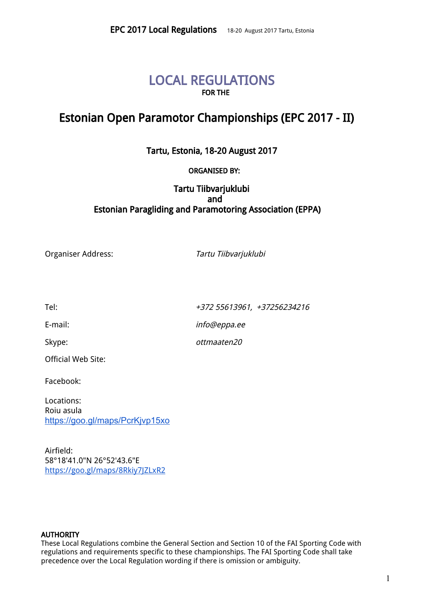# LOCAL REGULATIONS FOR THE

# Estonian Open Paramotor Championships (EPC 2017 - II)

Tartu, Estonia, 18-20 August 2017

# ORGANISED BY:

# Tartu Tiibvarjuklubi and Estonian Paragliding and Paramotoring Association (EPPA)

Organiser Address: Tartu Tiibvarjuklubi

Official Web Site:

Facebook:

Locations: Roiu asula <https://goo.gl/maps/PcrKjvp15xo>

Airfield: 58°18'41.0"N 26°52'43.6"E <https://goo.gl/maps/8Rkiy7JZLxR2>

### **AUTHORITY**

These Local Regulations combine the General Section and Section 10 of the FAI Sporting Code with regulations and requirements specific to these championships. The FAI Sporting Code shall take precedence over the Local Regulation wording if there is omission or ambiguity.

1

Tel:  $+372\,55613961, \ +37256234216$ 

E-mail:  $\qquad \qquad \text{info@eppa.ee}$  $\qquad \qquad \text{info@eppa.ee}$  $\qquad \qquad \text{info@eppa.ee}$ 

Skype:  $otmaaten20$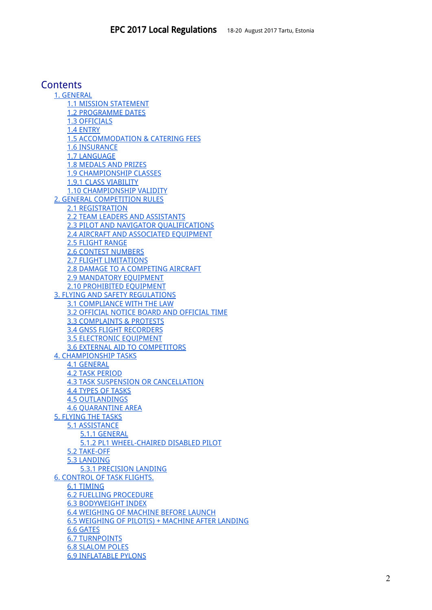# **Contents**

1. [GENERAL](#page-2-1) 1.1 MISSION [STATEMENT](#page-2-3) 1.2 [PROGRAMME](#page-2-2) DATES 1.3 [OFFICIALS](#page-2-0) 1.4 [ENTRY](#page-3-1) 1.5 [ACCOMMODATION](#page-3-0) & CATERING FEES 1.6 INSURANCE 1.7 [LANGUAGE](#page-4-7) 1.8 [MEDALS](#page-4-5) AND PRIZES 1.9 [CHAMPIONSHIP](#page-4-6) CLASSES 1.9.1 CLASS [VIABILITY](#page-4-3) 1.10 [CHAMPIONSHIP](#page-4-0) VALIDITY 2. GENERAL [COMPETITION](#page-4-1) RULES 2.1 [REGISTRATION](#page-4-4) 2.2 TEAM LEADERS AND [ASSISTANTS](#page-4-2) 2.3 PILOT AND NAVIGATOR [QUALIFICATIONS](#page-5-7) 2.4 AIRCRAFT AND ASSOCIATED EQUIPMENT 2.5 [FLIGHT](#page-5-3) RANGE 2.6 CONTEST [NUMBERS](#page-5-8) 2.7 FLIGHT [LIMITATIONS](#page-5-1) 2.8 DAMAGE TO A [COMPETING](#page-5-9) AIRCRAFT 2.9 [MANDATORY](#page-5-5) EQUIPMENT 2.10 [PROHIBITED](#page-5-6) EQUIPMENT 3. FLYING AND SAFETY [REGULATIONS](#page-5-4) 3.1 [COMPLIANCE](#page-5-2) WITH THE LAW 3.2 OFFICIAL NOTICE BOARD AND [OFFICIAL](#page-5-0) TIME 3.3 [COMPLAINTS](#page-6-4) & PROTESTS 3.4 GNSS FLIGHT [RECORDERS](#page-6-3) 3.5 [ELECTRONIC](#page-6-2) EQUIPMENT 3.6 EXTERNAL AID TO [COMPETITORS](#page-6-5) 4. [CHAMPIONSHIP](#page-6-1) TASKS 4.1 [GENERAL](#page-6-0) 4.2 TASK [PERIOD](#page-7-3) 4.3 TASK SUSPENSION OR [CANCELLATION](#page-7-8) 4.4 TYPES OF [TASKS](#page-7-2) 4.5 [OUTLANDINGS](#page-7-7) 4.6 [QUARANTINE](#page-7-6) AREA 5. [FLYING](#page-7-1) THE TASKS 5.1 [ASSISTANCE](#page-7-4) 5.1.1 [GENERAL](#page-7-5) 5.1.2 PL1 [WHEEL-CHAIRED](#page-7-0) DISABLED PILOT 5.2 [TAKE-OFF](#page-8-3) 5.3 [LANDING](#page-8-4) 5.3.1 [PRECISION](#page-8-2) LANDING 6. [CONTROL](#page-8-1) OF TASK FLIGHTS. 6.1 [TIMING](#page-8-0) 6.2 FUELLING PROCEDURE 6.3 BODYWEIGHT INDEX 6.4 WEIGHING OF MACHINE BEFORE LAUNCH 6.5 WEIGHING OF PILOT(S) + MACHINE AFTER LANDING 6.6 [GATES](#page-9-0) 6.7 [TURNPOINTS](#page-10-2) 6.8 [SLALOM](#page-10-1) POLES 6.9 [INFLATABLE](#page-10-0) PYLONS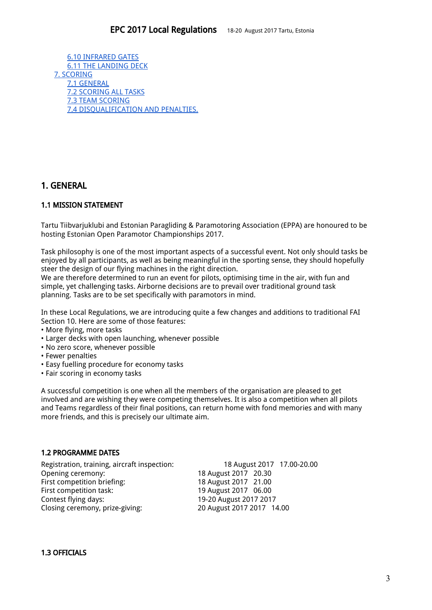6.10 [INFRARED](#page-10-3) GATES 6.11 THE [LANDING](#page-10-6) DECK 7. [SCORING](#page-10-4) 7.1 [GENERAL](#page-10-7) 7.2 [SCORING](#page-10-5) ALL TASKS 7.3 TEAM [SCORING](#page-11-0) 7.4 [DISQUALIFICATION](#page-11-1) AND PENALTIES.

# <span id="page-2-1"></span>1. GENERAL

# <span id="page-2-3"></span>1.1 MISSION STATEMENT

Tartu Tiibvarjuklubi and Estonian Paragliding & Paramotoring Association (EPPA) are honoured to be hosting Estonian Open Paramotor Championships 2017.

Task philosophy is one of the most important aspects of a successful event. Not only should tasks be enjoyed by all participants, as well as being meaningful in the sporting sense, they should hopefully steer the design of our flying machines in the right direction.

We are therefore determined to run an event for pilots, optimising time in the air, with fun and simple, yet challenging tasks. Airborne decisions are to prevail over traditional ground task planning. Tasks are to be set specifically with paramotors in mind.

In these Local Regulations, we are introducing quite a few changes and additions to traditional FAI Section 10. Here are some of those features:

- More flying, more tasks
- Larger decks with open launching, whenever possible
- No zero score, whenever possible
- Fewer penalties
- Easy fuelling procedure for economy tasks
- Fair scoring in economy tasks

A successful competition is one when all the members of the organisation are pleased to get involved and are wishing they were competing themselves. It is also a competition when all pilots and Teams regardless of their final positions, can return home with fond memories and with many more friends, and this is precisely our ultimate aim.

### <span id="page-2-2"></span>1.2 PROGRAMME DATES

Registration, training, aircraft inspection: 18 August 2017 17.00-20.00 Opening ceremony: 18 August 2017 20.30<br>First competition briefing: 18 August 2017 21.00 First competition briefing: First competition task: 19 August 2017 06.00 Contest flying days: 19-20 August 2017 2017 Closing ceremony, prize-giving: 20 August 2017 2017 14.00

### <span id="page-2-0"></span>1.3 OFFICIALS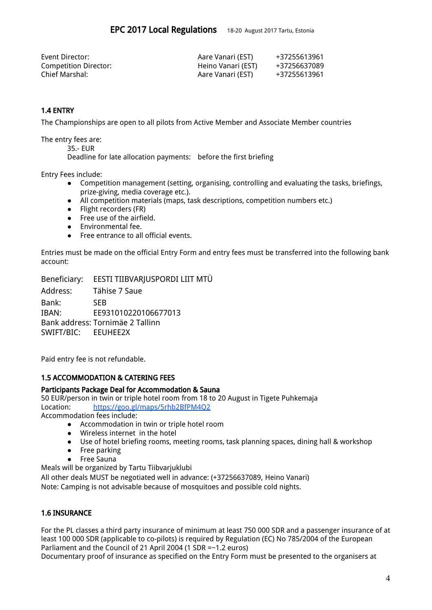| Event Director:       | Aare Vanari (EST)  | +37255613961 |
|-----------------------|--------------------|--------------|
| Competition Director: | Heino Vanari (EST) | +37256637089 |
| Chief Marshal:        | Aare Vanari (EST)  | +37255613961 |

# <span id="page-3-1"></span>1.4 ENTRY

The Championships are open to all pilots from Active Member and Associate Member countries

The entry fees are:

35.- EUR

Deadline for late allocation payments: before the first briefing

Entry Fees include:

- Competition management (setting, organising, controlling and evaluating the tasks, briefings, prize-giving, media coverage etc.).
- All competition materials (maps, task descriptions, competition numbers etc.)
- Flight recorders (FR)
- Free use of the airfield.
- Environmental fee.
- Free entrance to all official events.

Entries must be made on the official Entry Form and entry fees must be transferred into the following bank account:

Beneficiary: EESTI TIIBVARJUSPORDI LIIT MTÜ

Address: Tähise 7 Saue Bank: SEB IBAN: EE931010220106677013 Bank address: Tornimäe 2 Tallinn SWIFT/BIC: EEUHEE2X

<span id="page-3-0"></span>Paid entry fee is not refundable.

### 1.5 ACCOMMODATION & CATERING FEES

#### Participants Package Deal for Accommodation & Sauna

50 EUR/person in twin or triple hotel room from 18 to 20 August in Tigete Puhkemaja Location: <https://goo.gl/maps/5rhb2BfPM4Q2>

Accommodation fees include:

- Accommodation in twin or triple hotel room
- Wireless internet in the hotel
- Use of hotel briefing rooms, meeting rooms, task planning spaces, dining hall & workshop<br>● Free parking
- Free parking
- **Free Sauna**

Meals will be organized by Tartu Tiibvarjuklubi

All other deals MUST be negotiated well in advance: (+37256637089, Heino Vanari[\)](mailto:info@eppa.ee) Note: Camping is not advisable because of mosquitoes and possible cold nights.

# 1.6 INSURANCE

For the PL classes a third party insurance of minimum at least 750 000 SDR and a passenger insurance of at least 100 000 SDR (applicable to co-pilots) is required by Regulation (EC) No 785/2004 of the European Parliament and the Council of 21 April 2004 (1 SDR =~1.2 euros)

Documentary proof of insurance as specified on the Entry Form must be presented to the organisers at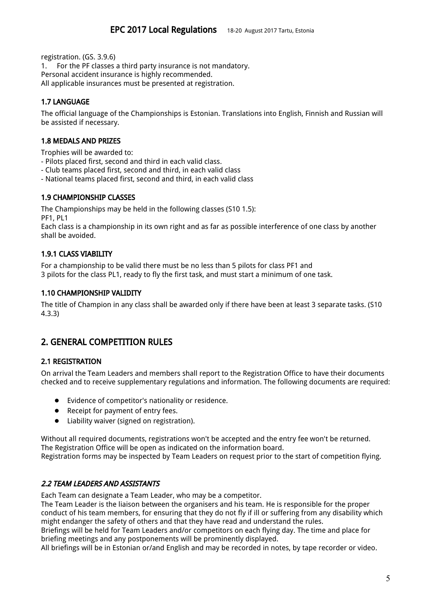registration. (GS. 3.9.6)

1. For the PF classes a third party insurance is not mandatory. Personal accident insurance is highly recommended. All applicable insurances must be presented at registration.

# <span id="page-4-7"></span>1.7 LANGUAGE

The official language of the Championships is Estonian. Translations into English, Finnish and Russian will be assisted if necessary.

#### <span id="page-4-5"></span>1.8 MEDALS AND PRIZES

Trophies will be awarded to:

- Pilots placed first, second and third in each valid class.
- Club teams placed first, second and third, in each valid class
- <span id="page-4-6"></span>- National teams placed first, second and third, in each valid class

### 1.9 CHAMPIONSHIP CLASSES

The Championships may be held in the following classes (S10 1.5): PF1, PL1

Each class is a championship in its own right and as far as possible interference of one class by another shall be avoided.

# <span id="page-4-3"></span>1.9.1 CLASS VIABILITY

For a championship to be valid there must be no less than 5 pilots for class PF1 and 3 pilots for the class PL1, ready to fly the first task, and must start a minimum of one task.

#### <span id="page-4-0"></span>1.10 CHAMPIONSHIP VALIDITY

The title of Champion in any class shall be awarded only if there have been at least 3 separate tasks. (S10 4.3.3)

# <span id="page-4-1"></span>2. GENERAL COMPETITION RULES

### <span id="page-4-4"></span>2.1 REGISTRATION

On arrival the Team Leaders and members shall report to the Registration Office to have their documents checked and to receive supplementary regulations and information. The following documents are required:

- Evidence of competitor's nationality or residence.
- Receipt for payment of entry fees.
- Liability waiver (signed on registration).

Without all required documents, registrations won't be accepted and the entry fee won't be returned. The Registration Office will be open as indicated on the information board. Registration forms may be inspected by Team Leaders on request prior to the start of competition flying.

### <span id="page-4-2"></span>2.2 TEAM LEADERS AND ASSISTANTS

Each Team can designate a Team Leader, who may be a competitor.

The Team Leader is the liaison between the organisers and his team. He is responsible for the proper conduct of his team members, for ensuring that they do not fly if ill or suffering from any disability which might endanger the safety of others and that they have read and understand the rules.

Briefings will be held for Team Leaders and/or competitors on each flying day. The time and place for briefing meetings and any postponements will be prominently displayed.

All briefings will be in Estonian or/and English and may be recorded in notes, by tape recorder or video.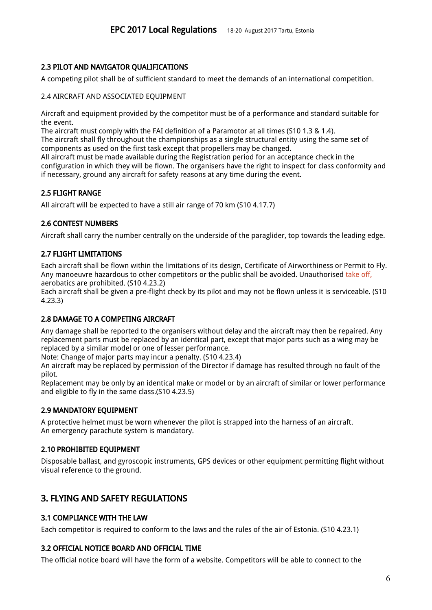# <span id="page-5-7"></span>2.3 PILOT AND NAVIGATOR QUALIFICATIONS

A competing pilot shall be of sufficient standard to meet the demands of an international competition.

#### 2.4 AIRCRAFT AND ASSOCIATED EQUIPMENT

Aircraft and equipment provided by the competitor must be of a performance and standard suitable for the event.

The aircraft must comply with the FAI definition of a Paramotor at all times (S10 1.3 & 1.4).

The aircraft shall fly throughout the championships as a single structural entity using the same set of components as used on the first task except that propellers may be changed.

All aircraft must be made available during the Registration period for an acceptance check in the configuration in which they will be flown. The organisers have the right to inspect for class conformity and if necessary, ground any aircraft for safety reasons at any time during the event.

# <span id="page-5-3"></span>2.5 FLIGHT RANGE

<span id="page-5-8"></span>All aircraft will be expected to have a still air range of 70 km (S10 4.17.7)

# 2.6 CONTEST NUMBERS

<span id="page-5-1"></span>Aircraft shall carry the number centrally on the underside of the paraglider, top towards the leading edge.

# 2.7 FLIGHT LIMITATIONS

Each aircraft shall be flown within the limitations of its design, Certificate of Airworthiness or Permit to Fly. Any manoeuvre hazardous to other competitors or the public shall be avoided. Unauthorised take off, aerobatics are prohibited. (S10 4.23.2)

Each aircraft shall be given a pre-flight check by its pilot and may not be flown unless it is serviceable. (S10 4.23.3)

### <span id="page-5-9"></span>2.8 DAMAGE TO A COMPETING AIRCRAFT

Any damage shall be reported to the organisers without delay and the aircraft may then be repaired. Any replacement parts must be replaced by an identical part, except that major parts such as a wing may be replaced by a similar model or one of lesser performance.

Note: Change of major parts may incur a penalty. (S10 4.23.4)

An aircraft may be replaced by permission of the Director if damage has resulted through no fault of the pilot.

Replacement may be only by an identical make or model or by an aircraft of similar or lower performance and eligible to fly in the same class.(S10 4.23.5)

### <span id="page-5-5"></span>2.9 MANDATORY EQUIPMENT

A protective helmet must be worn whenever the pilot is strapped into the harness of an aircraft. An emergency parachute system is mandatory.

### <span id="page-5-6"></span>2.10 PROHIBITED EQUIPMENT

Disposable ballast, and gyroscopic instruments, GPS devices or other equipment permitting flight without visual reference to the ground.

# <span id="page-5-4"></span>3. FLYING AND SAFETY REGULATIONS

### <span id="page-5-2"></span>3.1 COMPLIANCE WITH THE LAW

<span id="page-5-0"></span>Each competitor is required to conform to the laws and the rules of the air of Estonia. (S10 4.23.1)

### 3.2 OFFICIAL NOTICE BOARD AND OFFICIAL TIME

The official notice board will have the form of a website. Competitors will be able to connect to the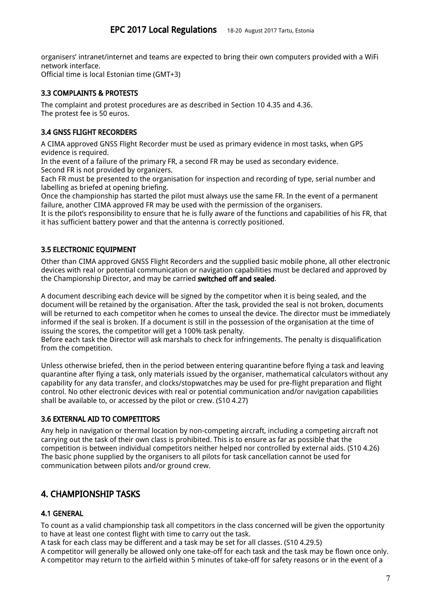organisers' intranet/internet and teams are expected to bring their own computers provided with a WiFi network interface.

<span id="page-6-4"></span>Official time is local Estonian time (GMT+3)

# 3.3 COMPLAINTS & PROTESTS

The complaint and protest procedures are as described in Section 10 4.35 and 4.36. The protest fee is 50 euros.

# <span id="page-6-3"></span>3.4 GNSS FLIGHT RECORDERS

A CIMA approved GNSS Flight Recorder must be used as primary evidence in most tasks, when GPS evidence is required.

In the event of a failure of the primary FR, a second FR may be used as secondary evidence. Second FR is not provided by organizers.

Each FR must be presented to the organisation for inspection and recording of type, serial number and labelling as briefed at opening briefing.

Once the championship has started the pilot must always use the same FR. In the event of a permanent failure, another CIMA approved FR may be used with the permission of the organisers.

It is the pilot's responsibility to ensure that he is fully aware of the functions and capabilities of his FR, that it has sufficient battery power and that the antenna is correctly positioned.

# <span id="page-6-2"></span>3.5 ELECTRONIC EQUIPMENT

Other than CIMA approved GNSS Flight Recorders and the supplied basic mobile phone, all other electronic devices with real or potential communication or navigation capabilities must be declared and approved by the Championship Director, and may be carried switched off and sealed.

A document describing each device will be signed by the competitor when it is being sealed, and the document will be retained by the organisation. After the task, provided the seal is not broken, documents will be returned to each competitor when he comes to unseal the device. The director must be immediately informed if the seal is broken. If a document is still in the possession of the organisation at the time of issuing the scores, the competitor will get a 100% task penalty.

Before each task the Director will ask marshals to check for infringements. The penalty is disqualification from the competition.

Unless otherwise briefed, then in the period between entering quarantine before flying a task and leaving quarantine after flying a task, only materials issued by the organiser, mathematical calculators without any capability for any data transfer, and clocks/stopwatches may be used for pre-flight preparation and flight control. No other electronic devices with real or potential communication and/or navigation capabilities shall be available to, or accessed by the pilot or crew. (S10 4.27)

### <span id="page-6-5"></span>3.6 EXTERNAL AID TO COMPETITORS

Any help in navigation or thermal location by non-competing aircraft, including a competing aircraft not carrying out the task of their own class is prohibited. This is to ensure as far as possible that the competition is between individual competitors neither helped nor controlled by external aids. (S10 4.26) The basic phone supplied by the organisers to all pilots for task cancellation cannot be used for communication between pilots and/or ground crew.

# <span id="page-6-1"></span>4. CHAMPIONSHIP TASKS

# <span id="page-6-0"></span>4.1 GENERAL

To count as a valid championship task all competitors in the class concerned will be given the opportunity to have at least one contest flight with time to carry out the task.

A task for each class may be different and a task may be set for all classes. (S10 4.29.5)

A competitor will generally be allowed only one take-off for each task and the task may be flown once only. A competitor may return to the airfield within 5 minutes of take-off for safety reasons or in the event of a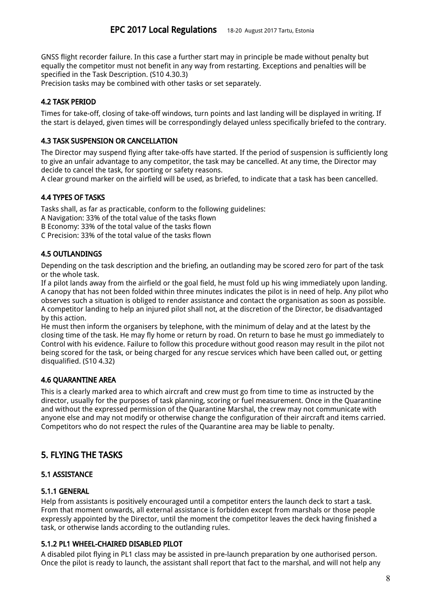GNSS flight recorder failure. In this case a further start may in principle be made without penalty but equally the competitor must not benefit in any way from restarting. Exceptions and penalties will be specified in the Task Description. (S10 4.30.3)

<span id="page-7-3"></span>Precision tasks may be combined with other tasks or set separately.

# 4.2 TASK PERIOD

Times for take-off, closing of take-off windows, turn points and last landing will be displayed in writing. If the start is delayed, given times will be correspondingly delayed unless specifically briefed to the contrary.

# <span id="page-7-8"></span>4.3 TASK SUSPENSION OR CANCELLATION

The Director may suspend flying after take-offs have started. If the period of suspension is sufficiently long to give an unfair advantage to any competitor, the task may be cancelled. At any time, the Director may decide to cancel the task, for sporting or safety reasons.

<span id="page-7-2"></span>A clear ground marker on the airfield will be used, as briefed, to indicate that a task has been cancelled.

# 4.4 TYPES OF TASKS

Tasks shall, as far as practicable, conform to the following guidelines:

A Navigation: 33% of the total value of the tasks flown

B Economy: 33% of the total value of the tasks flown

<span id="page-7-7"></span>C Precision: 33% of the total value of the tasks flown

# 4.5 OUTLANDINGS

Depending on the task description and the briefing, an outlanding may be scored zero for part of the task or the whole task.

If a pilot lands away from the airfield or the goal field, he must fold up his wing immediately upon landing. A canopy that has not been folded within three minutes indicates the pilot is in need of help. Any pilot who observes such a situation is obliged to render assistance and contact the organisation as soon as possible. A competitor landing to help an injured pilot shall not, at the discretion of the Director, be disadvantaged by this action.

He must then inform the organisers by telephone, with the minimum of delay and at the latest by the closing time of the task. He may fly home or return by road. On return to base he must go immediately to Control with his evidence. Failure to follow this procedure without good reason may result in the pilot not being scored for the task, or being charged for any rescue services which have been called out, or getting disqualified. (S10 4.32)

### <span id="page-7-6"></span>4.6 QUARANTINE AREA

This is a clearly marked area to which aircraft and crew must go from time to time as instructed by the director, usually for the purposes of task planning, scoring or fuel measurement. Once in the Quarantine and without the expressed permission of the Quarantine Marshal, the crew may not communicate with anyone else and may not modify or otherwise change the configuration of their aircraft and items carried. Competitors who do not respect the rules of the Quarantine area may be liable to penalty.

# <span id="page-7-1"></span>5. FLYING THE TASKS

### <span id="page-7-4"></span>5.1 ASSISTANCE

### <span id="page-7-5"></span>5.1.1 GENERAL

Help from assistants is positively encouraged until a competitor enters the launch deck to start a task. From that moment onwards, all external assistance is forbidden except from marshals or those people expressly appointed by the Director, until the moment the competitor leaves the deck having finished a task, or otherwise lands according to the outlanding rules.

### <span id="page-7-0"></span>5.1.2 PL1 WHEEL-CHAIRED DISABLED PILOT

A disabled pilot flying in PL1 class may be assisted in pre-launch preparation by one authorised person. Once the pilot is ready to launch, the assistant shall report that fact to the marshal, and will not help any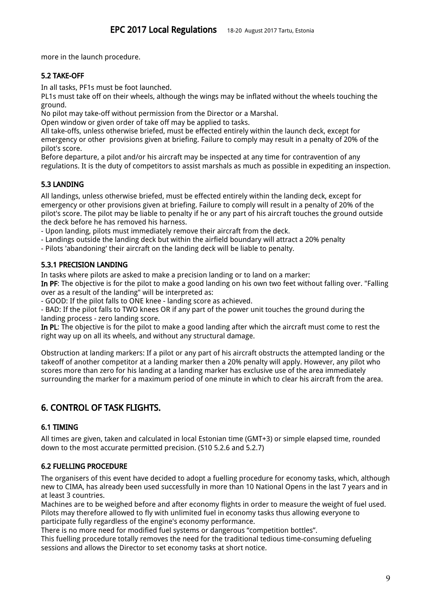<span id="page-8-3"></span>more in the launch procedure.

# 5.2 TAKE-OFF

In all tasks, PF1s must be foot launched.

PL1s must take off on their wheels, although the wings may be inflated without the wheels touching the ground.

No pilot may take-off without permission from the Director or a Marshal.

Open window or given order of take off may be applied to tasks.

All take-offs, unless otherwise briefed, must be effected entirely within the launch deck, except for emergency or other provisions given at briefing. Failure to comply may result in a penalty of 20% of the pilot's score.

Before departure, a pilot and/or his aircraft may be inspected at any time for contravention of any regulations. It is the duty of competitors to assist marshals as much as possible in expediting an inspection.

# <span id="page-8-4"></span>5.3 LANDING

All landings, unless otherwise briefed, must be effected entirely within the landing deck, except for emergency or other provisions given at briefing. Failure to comply will result in a penalty of 20% of the pilot's score. The pilot may be liable to penalty if he or any part of his aircraft touches the ground outside the deck before he has removed his harness.

- Upon landing, pilots must immediately remove their aircraft from the deck.

- Landings outside the landing deck but within the airfield boundary will attract a 20% penalty

- Pilots 'abandoning' their aircraft on the landing deck will be liable to penalty.

# <span id="page-8-2"></span>5.3.1 PRECISION LANDING

In tasks where pilots are asked to make a precision landing or to land on a marker:

In PF: The objective is for the pilot to make a good landing on his own two feet without falling over. "Falling over as a result of the landing" will be interpreted as:

- GOOD: If the pilot falls to ONE knee - landing score as achieved.

- BAD: If the pilot falls to TWO knees OR if any part of the power unit touches the ground during the landing process - zero landing score.

In PL: The objective is for the pilot to make a good landing after which the aircraft must come to rest the right way up on all its wheels, and without any structural damage.

Obstruction at landing markers: If a pilot or any part of his aircraft obstructs the attempted landing or the takeoff of another competitor at a landing marker then a 20% penalty will apply. However, any pilot who scores more than zero for his landing at a landing marker has exclusive use of the area immediately surrounding the marker for a maximum period of one minute in which to clear his aircraft from the area.

# <span id="page-8-1"></span>6. CONTROL OF TASK FLIGHTS.

# <span id="page-8-0"></span>6.1 TIMING

All times are given, taken and calculated in local Estonian time (GMT+3) or simple elapsed time, rounded down to the most accurate permitted precision. (S10 5.2.6 and 5.2.7)

### 6.2 FUELLING PROCEDURE

The organisers of this event have decided to adopt a fuelling procedure for economy tasks, which, although new to CIMA, has already been used successfully in more than 10 National Opens in the last 7 years and in at least 3 countries.

Machines are to be weighed before and after economy flights in order to measure the weight of fuel used. Pilots may therefore allowed to fly with unlimited fuel in economy tasks thus allowing everyone to participate fully regardless of the engine's economy performance.

There is no more need for modified fuel systems or dangerous "competition bottles".

This fuelling procedure totally removes the need for the traditional tedious time-consuming defueling sessions and allows the Director to set economy tasks at short notice.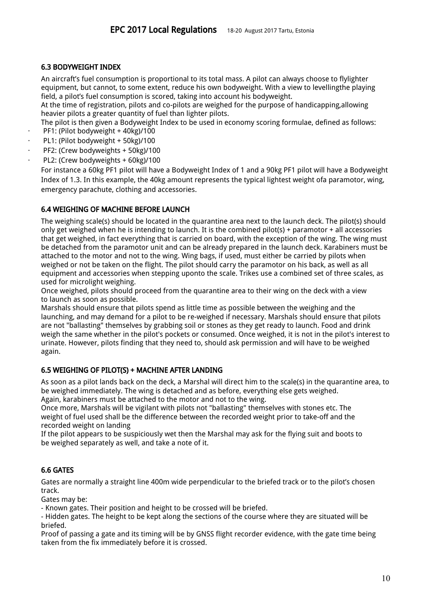### 6.3 BODYWEIGHT INDEX

An aircraft's fuel consumption is proportional to its total mass. A pilot can always choose to flylighter equipment, but cannot, to some extent, reduce his own bodyweight. With a view to levellingthe playing field, a pilot's fuel consumption is scored, taking into account his bodyweight.

At the time of registration, pilots and co-pilots are weighed for the purpose of handicapping,allowing heavier pilots a greater quantity of fuel than lighter pilots.

The pilot is then given a Bodyweight Index to be used in economy scoring formulae, defined as follows:

- PF1: (Pilot bodyweight + 40kg)/100
- PL1: (Pilot bodyweight + 50kg)/100
- PF2: (Crew bodyweights + 50kg)/100
- PL2: (Crew bodyweights + 60kg)/100

For instance a 60kg PF1 pilot will have a Bodyweight Index of 1 and a 90kg PF1 pilot will have a Bodyweight Index of 1.3. In this example, the 40kg amount represents the typical lightest weight ofa paramotor, wing, emergency parachute, clothing and accessories.

### 6.4 WEIGHING OF MACHINE BEFORE LAUNCH

The weighing scale(s) should be located in the quarantine area next to the launch deck. The pilot(s) should only get weighed when he is intending to launch. It is the combined pilot(s) + paramotor + all accessories that get weighed, in fact everything that is carried on board, with the exception of the wing. The wing must be detached from the paramotor unit and can be already prepared in the launch deck. Karabiners must be attached to the motor and not to the wing. Wing bags, if used, must either be carried by pilots when weighed or not be taken on the flight. The pilot should carry the paramotor on his back, as well as all equipment and accessories when stepping uponto the scale. Trikes use a combined set of three scales, as used for microlight weighing.

Once weighed, pilots should proceed from the quarantine area to their wing on the deck with a view to launch as soon as possible.

Marshals should ensure that pilots spend as little time as possible between the weighing and the launching, and may demand for a pilot to be re-weighed if necessary. Marshals should ensure that pilots are not "ballasting" themselves by grabbing soil or stones as they get ready to launch. Food and drink weigh the same whether in the pilot's pockets or consumed. Once weighed, it is not in the pilot's interest to urinate. However, pilots finding that they need to, should ask permission and will have to be weighed again.

### 6.5 WEIGHING OF PILOT(S) + MACHINE AFTER LANDING

As soon as a pilot lands back on the deck, a Marshal will direct him to the scale(s) in the quarantine area, to be weighed immediately. The wing is detached and as before, everything else gets weighed. Again, karabiners must be attached to the motor and not to the wing.

Once more, Marshals will be vigilant with pilots not "ballasting" themselves with stones etc. The weight of fuel used shall be the difference between the recorded weight prior to take-off and the recorded weight on landing

If the pilot appears to be suspiciously wet then the Marshal may ask for the flying suit and boots to be weighed separately as well, and take a note of it.

### <span id="page-9-0"></span>6.6 GATES

Gates are normally a straight line 400m wide perpendicular to the briefed track or to the pilot's chosen track.

Gates may be:

- Known gates. Their position and height to be crossed will be briefed.

- Hidden gates. The height to be kept along the sections of the course where they are situated will be briefed.

Proof of passing a gate and its timing will be by GNSS flight recorder evidence, with the gate time being taken from the fix immediately before it is crossed.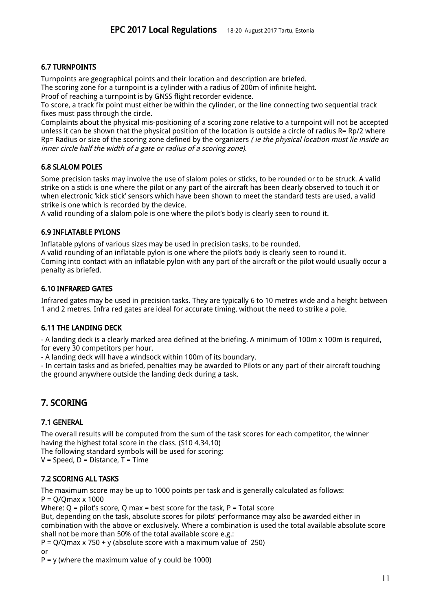# <span id="page-10-2"></span>6.7 TURNPOINTS

Turnpoints are geographical points and their location and description are briefed.

The scoring zone for a turnpoint is a cylinder with a radius of 200m of infinite height.

Proof of reaching a turnpoint is by GNSS flight recorder evidence.

To score, a track fix point must either be within the cylinder, or the line connecting two sequential track fixes must pass through the circle.

Complaints about the physical mis-positioning of a scoring zone relative to a turnpoint will not be accepted unless it can be shown that the physical position of the location is outside a circle of radius R= Rp/2 where Rp= Radius or size of the scoring zone defined by the organizers (ie the physical location must lie inside an inner circle half the width of <sup>a</sup> gate or radius of <sup>a</sup> scoring zone).

# <span id="page-10-1"></span>6.8 SLALOM POLES

Some precision tasks may involve the use of slalom poles or sticks, to be rounded or to be struck. A valid strike on a stick is one where the pilot or any part of the aircraft has been clearly observed to touch it or when electronic 'kick stick' sensors which have been shown to meet the standard tests are used, a valid strike is one which is recorded by the device.

<span id="page-10-0"></span>A valid rounding of a slalom pole is one where the pilot's body is clearly seen to round it.

# 6.9 INFLATABLE PYLONS

Inflatable pylons of various sizes may be used in precision tasks, to be rounded.

A valid rounding of an inflatable pylon is one where the pilot's body is clearly seen to round it. Coming into contact with an inflatable pylon with any part of the aircraft or the pilot would usually occur a penalty as briefed.

# <span id="page-10-3"></span>6.10 INFRARED GATES

Infrared gates may be used in precision tasks. They are typically 6 to 10 metres wide and a height between 1 and 2 metres. Infra red gates are ideal for accurate timing, without the need to strike a pole.

### <span id="page-10-6"></span>6.11 THE LANDING DECK

- A landing deck is a clearly marked area defined at the briefing. A minimum of 100m x 100m is required, for every 30 competitors per hour.

- A landing deck will have a windsock within 100m of its boundary.

- In certain tasks and as briefed, penalties may be awarded to Pilots or any part of their aircraft touching the ground anywhere outside the landing deck during a task.

# <span id="page-10-4"></span>7. SCORING

### <span id="page-10-7"></span>7.1 GENERAL

The overall results will be computed from the sum of the task scores for each competitor, the winner having the highest total score in the class. (S10 4.34.10)

The following standard symbols will be used for scoring:

<span id="page-10-5"></span> $V = Speed, D = Distance, T = Time$ 

### 7.2 SCORING ALL TASKS

The maximum score may be up to 1000 points per task and is generally calculated as follows:  $P = Q/Qmax \times 1000$ 

Where:  $Q =$  pilot's score, Q max = best score for the task, P = Total score

But, depending on the task, absolute scores for pilots' performance may also be awarded either in combination with the above or exclusively. Where a combination is used the total available absolute score shall not be more than 50% of the total available score e.g.:

 $P = O/O$  max x 750 + y (absolute score with a maximum value of 250)

or

 $P = y$  (where the maximum value of y could be 1000)